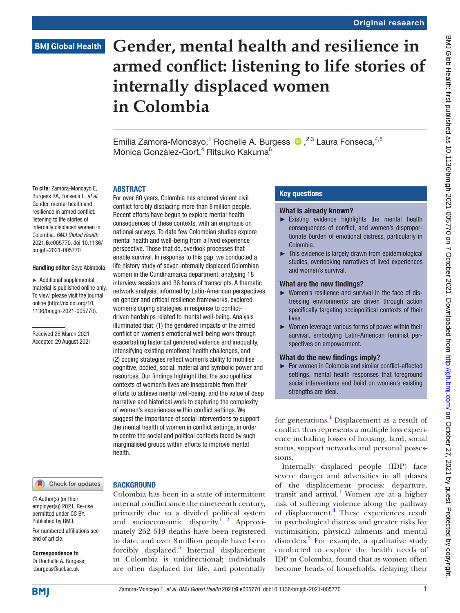# **Gender, mental health and resilience in armed conflict: listening to life stories of internally displaced women in Colombia**

Emilia Zamora-Moncayo,<sup>1</sup> Rochelle A. Burgess <sup>®</sup>,<sup>2,3</sup> Laura Fonseca,<sup>4,5</sup> Mónica González-Gort,<sup>4</sup> Ritsuko Kakuma<sup>6</sup>

To cite: Zamora-Moncayo E, Burgess RA, Fonseca L, *et al*. Gender, mental health and resilience in armed conflict: listening to life stories of internally displaced women in Colombia. *BMJ Global Health* 2021;6:e005770. doi:10.1136/ bmjgh-2021-005770

#### Handling editor Seye Abimbola

► Additional supplemental material is published online only. To view, please visit the journal online ([http://dx.doi.org/10.](http://dx.doi.org/10.1136/bmjgh-2021-005770) [1136/bmjgh-2021-005770](http://dx.doi.org/10.1136/bmjgh-2021-005770)).

Received 25 March 2021 Accepted 29 August 2021

#### **ARSTRACT**

For over 60 years, Colombia has endured violent civil conflict forcibly displacing more than 8million people. Recent efforts have begun to explore mental health consequences of these contexts, with an emphasis on national surveys. To date few Colombian studies explore mental health and well-being from a lived experience perspective. Those that do, overlook processes that enable survival. In response to this gap, we conducted a life history study of seven internally displaced Colombian women in the Cundinamarca department, analysing 18 interview sessions and 36 hours of transcripts. A thematic network analysis, informed by Latin-American perspectives on gender and critical resilience frameworks, explored women's coping strategies in response to conflictdriven hardships related to mental well-being. Analysis illuminated that: (1) the gendered impacts of the armed conflict on women's emotional well-being work through exacerbating historical gendered violence and inequality, intensifying existing emotional health challenges, and (2) coping strategies reflect women's ability to mobilise cognitive, bodied, social, material and symbolic power and resources. Our findings highlight that the sociopolitical contexts of women's lives are inseparable from their efforts to achieve mental well-being, and the value of deep narrative and historical work to capturing the complexity of women's experiences within conflict settings. We suggest the importance of social interventions to support the mental health of women in conflict settings, in order to centre the social and political contexts faced by such marginalised groups within efforts to improve mental health.

Check for updates

For numbered affiliations see

#### **BACKGROUND**

Colombia has been in a state of intermittent internal conflict since the nineteenth century, primarily due to a divided political system and socioeconomic disparity.<sup>1</sup> <sup>2</sup> Approximately 262 619 deaths have been registered to date, and over 8million people have been forcibly displaced.<sup>[3](#page-11-0)</sup> Internal displacement in Colombia is unidirectional; individuals are often displaced for life, and potentially

#### Key questions

#### What is already known?

- ► Existing evidence highlights the mental health consequences of conflict, and women's disproportionate burden of emotional distress, particularly in Colombia.
- ► This evidence is largely drawn from epidemiological studies, overlooking narratives of lived experiences and women's survival.

#### What are the new findings?

- ► Women's resilience and survival in the face of distressing environments are driven through action specifically targeting sociopolitical contexts of their lives.
- ► Women leverage various forms of power within their survival, embodying Latin-American feminist perspectives on empowerment.

#### What do the new findings imply?

► For women in Colombia and similar conflict-affected settings, mental health responses that foreground social interventions and build on women's existing strengths are ideal.

for generations.<sup>1</sup> Displacement as a result of conflict thus represents a multiple loss experience including losses of housing, land, social status, support networks and personal possessions.

Internally displaced people (IDP) face severe danger and adversities in all phases of the displacement process: departure, transit and arrival.<sup>[1](#page-10-0)</sup> Women are at a higher risk of suffering violence along the pathway of displacement.<sup>[4](#page-11-1)</sup> These experiences result in psychological distress and greater risks for victimisation, physical ailments and mental disorders.<sup>[5](#page-11-2)</sup> For example, a qualitative study conducted to explore the health needs of IDP in Colombia, found that as women often become heads of households, delaying their

**BMJ** 

end of article.

Correspondence to Dr Rochelle A. Burgess; r.burgess@ucl.ac.uk

© Author(s) (or their employer(s)) 2021. Re-use permitted under CC BY. Published by BMJ.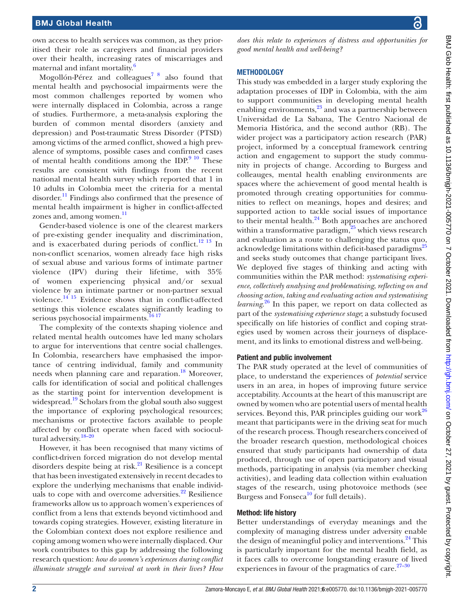own access to health services was common, as they prioritised their role as caregivers and financial providers over their health, increasing rates of miscarriages and maternal and infant mortality.<sup>[6](#page-11-3)</sup>

Mogollón-Pérez and colleagues<sup>[7 8](#page-11-4)</sup> also found that mental health and psychosocial impairments were the most common challenges reported by women who were internally displaced in Colombia, across a range of studies. Furthermore, a meta-analysis exploring the burden of common mental disorders (anxiety and depression) and Post-traumatic Stress Disorder (PTSD) among victims of the armed conflict, showed a high prevalence of symptoms, possible cases and confirmed cases of mental health conditions among the IDP. $910$  These results are consistent with findings from the recent national mental health survey which reported that 1 in 10 adults in Colombia meet the criteria for a mental disorder.<sup>11</sup> Findings also confirmed that the presence of mental health impairment is higher in conflict-affected zones and, among women.<sup>[11](#page-11-6)</sup>

Gender-based violence is one of the clearest markers of pre-existing gender inequality and discrimination, and is exacerbated during periods of conflict.<sup>12 13</sup> In non-conflict scenarios, women already face high risks of sexual abuse and various forms of intimate partner violence (IPV) during their lifetime, with 35% of women experiencing physical and/or sexual violence by an intimate partner or non-partner sexual violence. $14^{15}$  Evidence shows that in conflict-affected settings this violence escalates significantly leading to serious psychosocial impairments.<sup>1617</sup>

The complexity of the contexts shaping violence and related mental health outcomes have led many scholars to argue for interventions that centre social challenges. In Colombia, researchers have emphasised the importance of centring individual, family and community needs when planning care and reparation.<sup>[18](#page-11-10)</sup> Moreover, calls for identification of social and political challenges as the starting point for intervention development is widespread.<sup>[19](#page-11-11)</sup> Scholars from the global south also suggest the importance of exploring psychological resources; mechanisms or protective factors available to people affected by conflict operate when faced with sociocultural adversity.<sup>18-20</sup>

However, it has been recognised that many victims of conflict-driven forced migration do not develop mental disorders despite being at risk. $^{21}$  Resilience is a concept that has been investigated extensively in recent decades to explore the underlying mechanisms that enable individuals to cope with and overcome adversities.<sup>22</sup> Resilience frameworks allow us to approach women's experiences of conflict from a lens that extends beyond victimhood and towards coping strategies. However, existing literature in the Colombian context does not explore resilience and coping among women who were internally displaced. Our work contributes to this gap by addressing the following research question: *how do women's experiences during conflict illuminate struggle and survival at work in their lives? How* 

*does this relate to experiences of distress and opportunities for good mental health and well-being?*

#### METHODOLOGY

This study was embedded in a larger study exploring the adaptation processes of IDP in Colombia, with the aim to support communities in developing mental health enabling environments,<sup>23</sup> and was a partnership between Universidad de La Sabana, The Centro Nacional de Memoria Histórica, and the second author (RB). The wider project was a participatory action research (PAR) project, informed by a conceptual framework centring action and engagement to support the study community in projects of change. According to Burgess and colleauges, mental health enabling environments are spaces where the achievement of good mental health is promoted through creating opportunities for communities to reflect on meanings, hopes and desires; and supported action to tackle social issues of importance to their mental health. $^{24}$  Both approaches are anchored within a transformative paradigm, $25$  which views research and evaluation as a route to challenging the status quo, acknowledge limitations within deficit-based paradigms<sup>[25](#page-11-16)</sup> and seeks study outcomes that change participant lives. We deployed five stages of thinking and acting with communities within the PAR method: *systematising experience*, *collectively analysing and problematising*, *reflecting on and choosing action*, *taking and evaluating action and systematising learning*. [26](#page-11-17) In this paper, we report on data collected as part of the *systematising experience stage*; a substudy focused specifically on life histories of conflict and coping strategies used by women across their journeys of displacement, and its links to emotional distress and well-being.

#### Patient and public involvement

The PAR study operated at the level of communities of place, to understand the experiences of *potential* service users in an area, in hopes of improving future service acceptability. Accounts at the heart of this manuscript are owned by women who are potential users of mental health services. Beyond this, PAR principles guiding our work $^{26}$ meant that participants were in the driving seat for much of the research process. Though researchers conceived of the broader research question, methodological choices ensured that study participants had ownership of data produced, through use of open participatory and visual methods, participating in analysis (via member checking activities), and leading data collection within evaluation stages of the research, using photovoice methods (see Burgess and Fonseca<sup>[10](#page-11-18)</sup> for full details).

#### Method: life history

Better understandings of everyday meanings and the complexity of managing distress under adversity enable the design of meaningful policy and interventions.<sup>24</sup> This is particularly important for the mental health field, as it faces calls to overcome longstanding erasure of lived experiences in favour of the pragmatics of care. $27-30$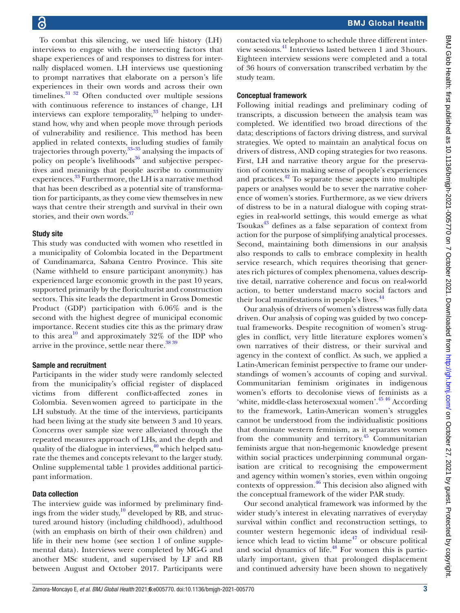To combat this silencing, we used life history (LH) interviews to engage with the intersecting factors that shape experiences of and responses to distress for internally displaced women. LH interviews use questioning to prompt narratives that elaborate on a person's life experiences in their own words and across their own timelines.<sup>31</sup> <sup>32</sup> Often conducted over multiple sessions with continuous reference to instances of change, LH interviews can explore temporality, $33$  helping to understand how, why and when people move through periods of vulnerability and resilience. This method has been applied in related contexts, including studies of family trajectories through poverty,<sup>[33–35](#page-11-21)</sup> analysing the impacts of policy on people's livelihoods $36$  and subjective perspectives and meanings that people ascribe to community experiences.[33](#page-11-21) Furthermore, the LH is a narrative method that has been described as a potential site of transformation for participants, as they come view themselves in new ways that centre their strength and survival in their own stories, and their own words.<sup>37</sup>

#### Study site

This study was conducted with women who resettled in a municipality of Colombia located in the Department of Cundinamarca, Sabana Centro Province. This site (Name withheld to ensure participant anonymity.) has experienced large economic growth in the past 10 years, supported primarily by the floriculturist and construction sectors. This site leads the department in Gross Domestic Product (GDP) participation with 6.06% and is the second with the highest degree of municipal economic importance. Recent studies cite this as the primary draw to this area<sup>10</sup> and approximately  $32\%$  of the IDP who arrive in the province, settle near there. $38\frac{39}{9}$ 

#### Sample and recruitment

Participants in the wider study were randomly selected from the municipality's official register of displaced victims from different conflict-affected zones in Colombia. Sevenwomen agreed to participate in the LH substudy. At the time of the interviews, participants had been living at the study site between 3 and 10 years. Concerns over sample size were alleviated through the repeated measures approach of LHs, and the depth and quality of the dialogue in interviews, $40$  which helped saturate the themes and concepts relevant to the larger study. [Online supplemental table 1](https://dx.doi.org/10.1136/bmjgh-2021-005770) provides additional participant information.

#### Data collection

The interview guide was informed by preliminary findings from the wider study, $\frac{10}{10}$  developed by RB, and structured around history (including childhood), adulthood (with an emphasis on birth of their own children) and life in their new home (see section 1 of [online supple](https://dx.doi.org/10.1136/bmjgh-2021-005770)[mental data\)](https://dx.doi.org/10.1136/bmjgh-2021-005770). Interviews were completed by MG-G and another MSc student, and supervised by LF and RB between August and October 2017. Participants were

contacted via telephone to schedule three different interview sessions.[41](#page-11-26) Interviews lasted between 1 and 3hours. Eighteen interview sessions were completed and a total of 36 hours of conversation transcribed verbatim by the study team.

#### Conceptual framework

Following initial readings and preliminary coding of transcripts, a discussion between the analysis team was completed. We identified two broad directions of the data; descriptions of factors driving distress, and survival strategies. We opted to maintain an analytical focus on drivers of distress, AND coping strategies for two reasons. First, LH and narrative theory argue for the preservation of contexts in making sense of people's experiences and practices. $42$  To separate these aspects into multiple papers or analyses would be to sever the narrative coherence of women's stories. Furthermore, as we view drivers of distress to be in a natural dialogue with coping strategies in real-world settings, this would emerge as what Tsoukas $43$  defines as a false separation of context from action for the purpose of simplifying analytical processes. Second, maintaining both dimensions in our analysis also responds to calls to embrace complexity in health service research, which requires theorising that generates rich pictures of complex phenomena, values descriptive detail, narrative coherence and focus on real-world action, to better understand macro social factors and their local manifestations in people's lives.<sup>[44](#page-11-29)</sup>

Our analysis of drivers of women's distress was fully data driven. Our analysis of coping was guided by two conceptual frameworks. Despite recognition of women's struggles in conflict, very little literature explores women's own narratives of their distress, or their survival and agency in the context of conflict. As such, we applied a Latin-American feminist perspective to frame our understandings of women's accounts of coping and survival. Communitarian feminism originates in indigenous women's efforts to decolonise views of feminists as a 'white, middle-class heterosexual women'.<sup>[45 46](#page-11-30)</sup> According to the framework, Latin-American women's struggles cannot be understood from the individualistic positions that dominate western feminism, as it separates women from the community and territory. $45$  Communitarian feminists argue that non-hegemonic knowledge present within social practices underpinning communal organisation are critical to recognising the empowerment and agency within women's stories, even within ongoing contexts of oppression. $46$  This decision also aligned with the conceptual framework of the wider PAR study.

Our second analytical framework was informed by the wider study's interest in elevating narratives of everyday survival within conflict and reconstruction settings, to counter western hegemonic ideas of individual resilience which lead to victim blame $47$  or obscure political and social dynamics of life. $48$  For women this is particularly important, given that prolonged displacement and continued adversity have been shown to negatively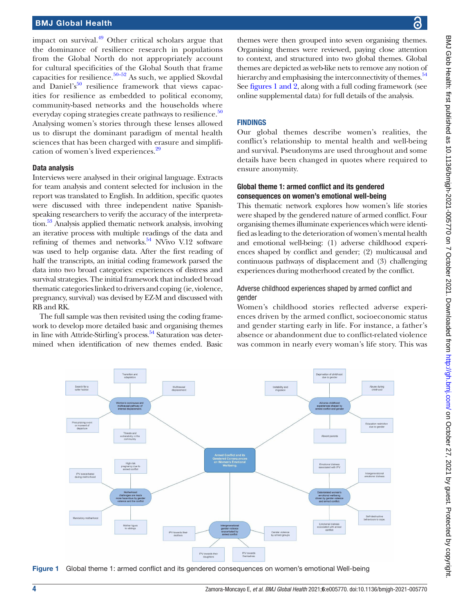impact on survival. $49$  Other critical scholars argue that the dominance of resilience research in populations from the Global North do not appropriately account for cultural specificities of the Global South that frame capacities for resilience.[50–52](#page-11-35) As such, we applied Skovdal and Daniel's $50$  resilience framework that views capacities for resilience as embedded to political economy, community-based networks and the households where everyday coping strategies create pathways to resilience. $50$ Analysing women's stories through these lenses allowed us to disrupt the dominant paradigm of mental health sciences that has been charged with erasure and simplification of women's lived experiences.[29](#page-11-36)

#### Data analysis

Interviews were analysed in their original language. Extracts for team analysis and content selected for inclusion in the report was translated to English. In addition, specific quotes were discussed with three independent native Spanishspeaking researchers to verify the accuracy of the interpretation.<sup>53</sup> Analysis applied thematic network analysis, involving an iterative process with multiple readings of the data and refining of themes and networks. $54$  NVivo V.12 software was used to help organise data. After the first reading of half the transcripts, an initial coding framework parsed the data into two broad categories: experiences of distress and survival strategies. The initial framework that included broad thematic categories linked to drivers and coping (ie, violence, pregnancy, survival) was devised by EZ-M and discussed with RB and RK.

The full sample was then revisited using the coding framework to develop more detailed basic and organising themes in line with Attride-Stirling's process. [54](#page-11-38) Saturation was determined when identification of new themes ended. Basic

themes were then grouped into seven organising themes. Organising themes were reviewed, paying close attention to context, and structured into two global themes. Global themes are depicted as web-like nets to remove any notion of hierarchy and emphasising the interconnectivity of themes.<sup>54</sup> See figures [1 and 2,](#page-3-0) along with a full coding framework (see [online supplemental data\)](https://dx.doi.org/10.1136/bmjgh-2021-005770) for full details of the analysis.

#### FINDINGS

Our global themes describe women's realities, the conflict's relationship to mental health and well-being and survival. Pseudonyms are used throughout and some details have been changed in quotes where required to ensure anonymity.

#### Global theme 1: armed conflict and its gendered consequences on women's emotional well-being

This thematic network explores how women's life stories were shaped by the gendered nature of armed conflict. Four organising themes illuminate experiences which were identified as leading to the deterioration of women's mental health and emotional well-being: (1) adverse childhood experiences shaped by conflict and gender; (2) multicausal and continuous pathways of displacement and (3) challenging experiences during motherhood created by the conflict.

#### Adverse childhood experiences shaped by armed conflict and gender

Women's childhood stories reflected adverse experiences driven by the armed conflict, socioeconomic status and gender starting early in life. For instance, a father's absence or abandonment due to conflict-related violence was common in nearly every woman's life story. This was



<span id="page-3-0"></span>Figure 1 Global theme 1: armed conflict and its gendered consequences on women's emotional Well-being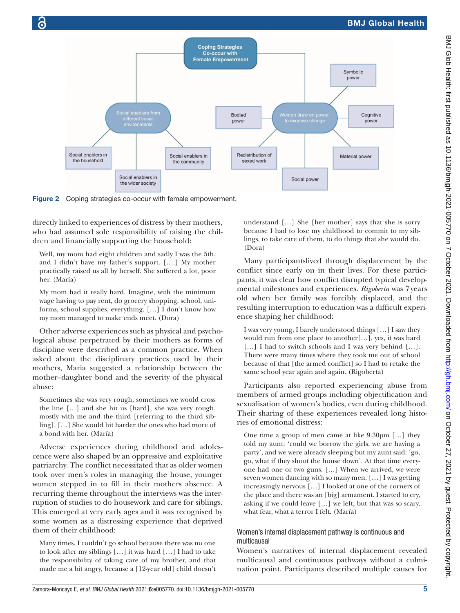

Figure 2 Coping strategies co-occur with female empowerment.

directly linked to experiences of distress by their mothers, who had assumed sole responsibility of raising the children and financially supporting the household:

Well, my mom had eight children and sadly I was the 5th, and I didn't have my father's support. [….] My mother practically raised us all by herself. She suffered a lot, poor her. (María)

My mom had it really hard. Imagine, with the minimum wage having to pay rent, do grocery shopping, school, uniforms, school supplies, everything. […] I don't know how my mom managed to make ends meet. (Dora)

Other adverse experiences such as physical and psychological abuse perpetrated by their mothers as forms of discipline were described as a common practice. When asked about the disciplinary practices used by their mothers, Maria suggested a relationship between the mother–daughter bond and the severity of the physical abuse:

Sometimes she was very rough, sometimes we would cross the line […] and she hit us [hard], she was very rough, mostly with me and the third [referring to the third sibling]. […] She would hit harder the ones who had more of a bond with her. (María)

Adverse experiences during childhood and adolescence were also shaped by an oppressive and exploitative patriarchy. The conflict necessitated that as older women took over men's roles in managing the house, younger women stepped in to fill in their mothers absence. A recurring theme throughout the interviews was the interruption of studies to do housework and care for siblings. This emerged at very early ages and it was recognised by some women as a distressing experience that deprived them of their childhood:

Many times, I couldn't go school because there was no one to look after my siblings […] it was hard […] I had to take the responsibility of taking care of my brother, and that made me a bit angry, because a [12-year old] child doesn't understand […] She [her mother] says that she is sorry because I had to lose my childhood to commit to my siblings, to take care of them, to do things that she would do. (Dora)

Many participantslived through displacement by the conflict since early on in their lives. For these participants, it was clear how conflict disrupted typical developmental milestones and experiences. *Rigoberta* was 7years old when her family was forcibly displaced, and the resulting interruption to education was a difficult experience shaping her childhood:

I was very young, I barely understood things […] I saw they would run from one place to another[…], yes, it was hard [...] I had to switch schools and I was very behind [...]. There were many times where they took me out of school because of that [the armed conflict] so I had to retake the same school year again and again. (Rigoberta)

Participants also reported experiencing abuse from members of armed groups including objectification and sexualisation of women's bodies, even during childhood. Their sharing of these experiences revealed long histories of emotional distress:

One time a group of men came at like 9.30pm […] they told my aunt: 'could we borrow the girls, we are having a party', and we were already sleeping but my aunt said: 'go, go, what if they shoot the house down'. At that time everyone had one or two guns. […] When we arrived, we were seven women dancing with so many men. […] I was getting increasingly nervous […] I looked at one of the corners of the place and there was an [big] armament. I started to cry, asking if we could leave […] we left, but that was so scary, what fear, what a terror I felt. (María)

#### Women's internal displacement pathway is continuous and multicausal

Women's narratives of internal displacement revealed multicausal and continuous pathways without a culmination point. Participants described multiple causes for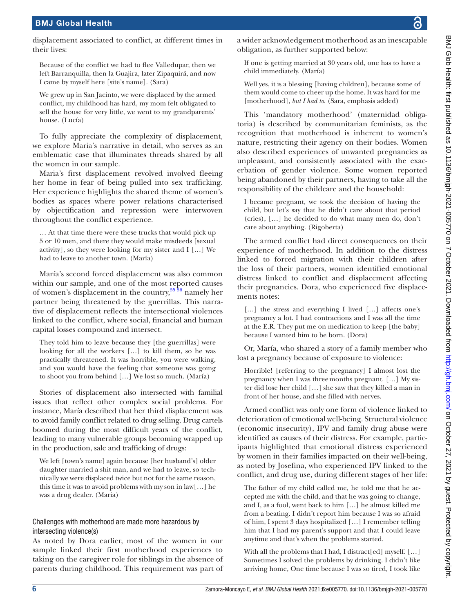displacement associated to conflict, at different times in their lives:

Because of the conflict we had to flee Valledupar, then we left Barranquilla, then la Guajira, later Zipaquirá, and now I came by myself here [site's name]. (Sara)

We grew up in San Jacinto, we were displaced by the armed conflict, my childhood has hard, my mom felt obligated to sell the house for very little, we went to my grandparents' house. (Lucía)

To fully appreciate the complexity of displacement, we explore Maria's narrative in detail, who serves as an emblematic case that illuminates threads shared by all the women in our sample.

Maria's first displacement revolved involved fleeing her home in fear of being pulled into sex trafficking. Her experience highlights the shared theme of women's bodies as spaces where power relations characterised by objectification and repression were interwoven throughout the conflict experience.

… At that time there were these trucks that would pick up 5 or 10 men, and there they would make misdeeds [sexual activity], so they were looking for my sister and I […] We had to leave to another town. (María)

María's second forced displacement was also common within our sample, and one of the most reported causes of women's displacement in the country,  $55\frac{56}{10}$  namely her partner being threatened by the guerrillas. This narrative of displacement reflects the intersectional violences linked to the conflict, where social, financial and human capital losses compound and intersect.

They told him to leave because they [the guerrillas] were looking for all the workers […] to kill them, so he was practically threatened. It was horrible, you were walking, and you would have the feeling that someone was going to shoot you from behind […] We lost so much. (María)

Stories of displacement also intersected with familial issues that reflect other complex social problems. For instance, María described that her third displacement was to avoid family conflict related to drug selling. Drug cartels boomed during the most difficult years of the conflict, leading to many vulnerable groups becoming wrapped up in the production, sale and trafficking of drugs:

We left [town's name] again because [her husband's] older daughter married a shit man, and we had to leave, so technically we were displaced twice but not for the same reason, this time it was to avoid problems with my son in law[…] he was a drug dealer. (Maria)

#### Challenges with motherhood are made more hazardous by intersecting violence(s)

As noted by Dora earlier, most of the women in our sample linked their first motherhood experiences to taking on the caregiver role for siblings in the absence of parents during childhood. This requirement was part of a wider acknowledgement motherhood as an inescapable obligation, as further supported below:

If one is getting married at 30 years old, one has to have a child immediately. (María)

Well yes, it is a blessing [having children], because some of them would come to cheer up the home. It was hard for me [motherhood], *but I had to*. (Sara, emphasis added)

This 'mandatory motherhood' (maternidad obligatoria) is described by communitarian feminists, as the recognition that motherhood is inherent to women's nature, restricting their agency on their bodies. Women also described experiences of unwanted pregnancies as unpleasant, and consistently associated with the exacerbation of gender violence. Some women reported being abandoned by their partners, having to take all the responsibility of the childcare and the household:

I became pregnant, we took the decision of having the child, but let's say that he didn't care about that period (cries), […] he decided to do what many men do, don't care about anything. (Rigoberta)

The armed conflict had direct consequences on their experience of motherhood. In addition to the distress linked to forced migration with their children after the loss of their partners, women identified emotional distress linked to conflict and displacement affecting their pregnancies. Dora, who experienced five displacements notes:

[...] the stress and everything I lived [...] affects one's pregnancy a lot. I had contractions and I was all the time at the E.R. They put me on medication to keep [the baby] because I wanted him to be born. (Dora)

Or, María, who shared a story of a family member who lost a pregnancy because of exposure to violence:

Horrible! [referring to the pregnancy] I almost lost the pregnancy when I was threemonths pregnant. […] My sister did lose her child […] she saw that they killed a man in front of her house, and she filled with nerves.

Armed conflict was only one form of violence linked to deterioration of emotional well-being. Structural violence (economic insecurity), IPV and family drug abuse were identified as causes of their distress. For example, participants highlighted that emotional distress experienced by women in their families impacted on their well-being, as noted by Josefina, who experienced IPV linked to the conflict, and drug use, during different stages of her life:

The father of my child called me, he told me that he accepted me with the child, and that he was going to change, and I, as a fool, went back to him […] he almost killed me from a beating. I didn't report him because I was so afraid of him, I spent 3 days hospitalized […] I remember telling him that I had my parent's support and that I could leave anytime and that's when the problems started.

With all the problems that I had, I distract[ed] myself. [...] Sometimes I solved the problems by drinking. I didn't like arriving home, One time because I was so tired, I took like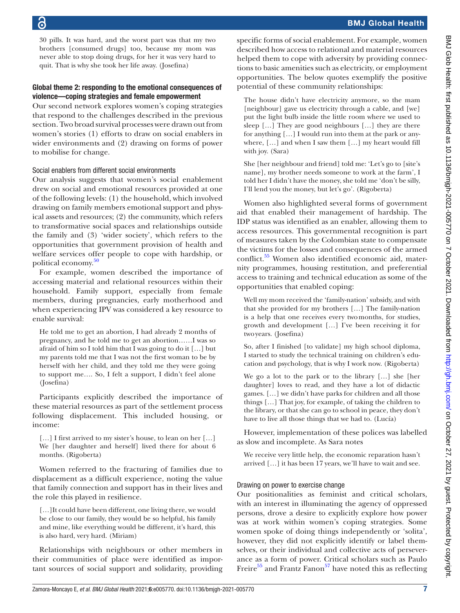30 pills. It was hard, and the worst part was that my two brothers [consumed drugs] too, because my mom was never able to stop doing drugs, for her it was very hard to quit. That is why she took her life away. (Josefina)

#### Global theme 2: responding to the emotional consequences of violence—coping strategies and female empowerment

Our second network explores women's coping strategies that respond to the challenges described in the previous section. Two broad survival processes were drawn out from women's stories (1) efforts to draw on social enablers in wider environments and (2) drawing on forms of power to mobilise for change.

### Social enablers from different social environments

Our analysis suggests that women's social enablement drew on social and emotional resources provided at one of the following levels: (1) the household, which involved drawing on family members emotional support and physical assets and resources; (2) the community, which refers to transformative social spaces and relationships outside the family and (3) 'wider society', which refers to the opportunities that government provision of health and welfare services offer people to cope with hardship, or political economy.<sup>[50](#page-11-35)</sup>

For example, women described the importance of accessing material and relational resources within their household. Family support, especially from female members, during pregnancies, early motherhood and when experiencing IPV was considered a key resource to enable survival:

He told me to get an abortion, I had already 2 months of pregnancy, and he told me to get an abortion……I was so afraid of him so I told him that I was going to do it […] but my parents told me that I was not the first woman to be by herself with her child, and they told me they were going to support me…. So, I felt a support, I didn't feel alone (Josefina)

Participants explicitly described the importance of these material resources as part of the settlement process following displacement. This included housing, or income:

[...] I first arrived to my sister's house, to lean on her [...] We [her daughter and herself] lived there for about 6 months. (Rigoberta)

Women referred to the fracturing of families due to displacement as a difficult experience, noting the value that family connection and support has in their lives and the role this played in resilience.

[…]It could have been different, one living there, we would be close to our family, they would be so helpful, his family and mine, like everything would be different, it's hard, this is also hard, very hard. (Miriam)

Relationships with neighbours or other members in their communities of place were identified as important sources of social support and solidarity, providing

specific forms of social enablement. For example, women described how access to relational and material resources helped them to cope with adversity by providing connections to basic amenities such as electricity, or employment opportunities. The below quotes exemplify the positive potential of these community relationships:

The house didn't have electricity anymore, so the mam [neighbour] gave us electricity through a cable, and [we] put the light bulb inside the little room where we used to sleep […] They are good neighbours […] they are there for anything […] I would run into them at the park or anywhere, […] and when I saw them […] my heart would fill with joy. (Sara)

She [her neighbour and friend] told me: 'Let's go to [site's name], my brother needs someone to work at the farm', I told her I didn't have the money, she told me 'don't be silly, I'll lend you the money, but let's go'. (Rigoberta)

Women also highlighted several forms of government aid that enabled their management of hardship. The IDP status was identified as an enabler, allowing them to access resources. This governmental recognition is part of measures taken by the Colombian state to compensate the victims for the losses and consequences of the armed conflict[.55](#page-11-39) Women also identified economic aid, maternity programmes, housing restitution, and preferential access to training and technical education as some of the opportunities that enabled coping:

Well my mom received the 'family-nation' subsidy, and with that she provided for my brothers […] The family-nation is a help that one receives every twomonths, for studies, growth and development […] I've been receiving it for twoyears. (Josefina)

So, after I finished [to validate] my high school diploma, I started to study the technical training on children's education and psychology, that is why I work now. (Rigoberta)

We go a lot to the park or to the library […] she [her daughter] loves to read, and they have a lot of didactic games. […] we didn't have parks for children and all those things […] That joy, for example, of taking the children to the library, or that she can go to school in peace, they don't have to live all those things that we had to. (Lucía)

However, implementation of these polices was labelled as slow and incomplete. As Sara notes

We receive very little help, the economic reparation hasn't arrived […] it has been 17 years, we'll have to wait and see.

### Drawing on power to exercise change

Our positionalities as feminist and critical scholars, with an interest in illuminating the agency of oppressed persons, drove a desire to explicitly explore how power was at work within women's coping strategies. Some women spoke of doing things independently or 'solita', however, they did not explicitly identify or label themselves, or their individual and collective acts of perseverance as a form of power. Critical scholars such as Paulo Freire<sup>55</sup> and Frantz Fanon<sup>57</sup> have noted this as reflecting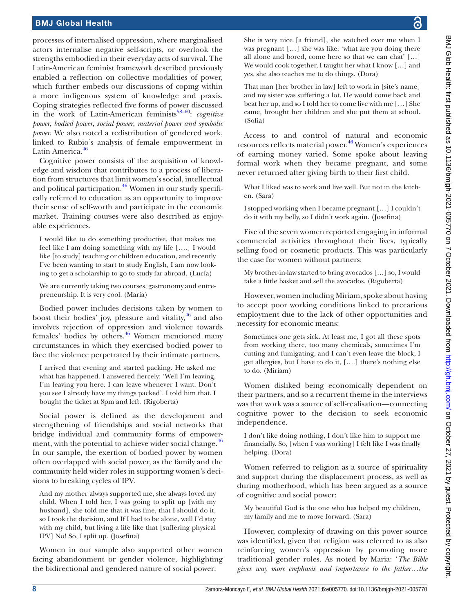processes of internalised oppression, where marginalised actors internalise negative self-scripts, or overlook the strengths embodied in their everyday acts of survival. The Latin-American feminist framework described previously enabled a reflection on collective modalities of power, which further embeds our discussions of coping within a more indigenous system of knowledge and praxis. Coping strategies reflected five forms of power discussed in the work of Latin-American feminists<sup>58–60</sup>: *cognitive power*, *bodied power*, *social power*, *material power and symbolic power*. We also noted a redistribution of gendered work, linked to Rubio's analysis of female empowerment in Latin America.<sup>[46](#page-11-31)</sup>

Cognitive power consists of the acquisition of knowledge and wisdom that contributes to a process of liberation from structures that limit women's social, intellectual and political participation.<sup>46</sup> Women in our study specifically referred to education as an opportunity to improve their sense of self-worth and participate in the economic market. Training courses were also described as enjoyable experiences.

I would like to do something productive, that makes me feel like I am doing something with my life [….] I would like [to study] teaching or children education, and recently I've been wanting to start to study English, I am now looking to get a scholarship to go to study far abroad. (Lucía)

We are currently taking two courses, gastronomy and entrepreneurship. It is very cool. (María)

Bodied power includes decisions taken by women to boost their bodies' joy, pleasure and vitality,  $46$  and also involves rejection of oppression and violence towards females' bodies by others.<sup>46</sup> Women mentioned many circumstances in which they exercised bodied power to face the violence perpetrated by their intimate partners.

I arrived that evening and started packing. He asked me what has happened. I answered fiercely: 'Well I'm leaving, I'm leaving you here. I can leave whenever I want. Don't you see I already have my things packed'. I told him that. I bought the ticket at 8pm and left. (Rigoberta)

Social power is defined as the development and strengthening of friendships and social networks that bridge individual and community forms of empowerment, with the potential to achieve wider social change. $46$ In our sample, the exertion of bodied power by women often overlapped with social power, as the family and the community held wider roles in supporting women's decisions to breaking cycles of IPV.

And my mother always supported me, she always loved my child. When I told her, I was going to split up [with my husband], she told me that it was fine, that I should do it, so I took the decision, and If I had to be alone, well I'd stay with my child, but living a life like that [suffering physical IPV] No! So, I split up. (Josefina)

Women in our sample also supported other women facing abandonment or gender violence, highlighting the bidirectional and gendered nature of social power:

She is very nice [a friend], she watched over me when I was pregnant […] she was like: 'what are you doing there all alone and bored, come here so that we can chat' […] We would cook together, I taught her what I know […] and yes, she also teaches me to do things. (Dora)

That man [her brother in law] left to work in [site's name] and my sister was suffering a lot. He would come back and beat her up, and so I told her to come live with me […] She came, brought her children and she put them at school. (Sofia)

Access to and control of natural and economic resources reflects material power.<sup>[46](#page-11-31)</sup> Women's experiences of earning money varied. Some spoke about leaving formal work when they became pregnant, and some never returned after giving birth to their first child.

What I liked was to work and live well. But not in the kitchen. (Sara)

I stopped working when I became pregnant […] I couldn't do it with my belly, so I didn't work again. (Josefina)

Five of the seven women reported engaging in informal commercial activities throughout their lives, typically selling food or cosmetic products. This was particularly the case for women without partners:

My brother-in-law started to bring avocados […] so, I would take a little basket and sell the avocados. (Rigoberta)

However, women including Miriam, spoke about having to accept poor working conditions linked to precarious employment due to the lack of other opportunities and necessity for economic means:

Sometimes one gets sick. At least me, I got all these spots from working there, too many chemicals, sometimes I'm cutting and fumigating, and I can't even leave the block, I get allergies, but I have to do it, [….] there's nothing else to do. (Miriam)

Women disliked being economically dependent on their partners, and so a recurrent theme in the interviews was that work was a source of self-realisation—connecting cognitive power to the decision to seek economic independence.

I don't like doing nothing, I don't like him to support me financially. So, [when I was working] I felt like I was finally helping. (Dora)

Women referred to religion as a source of spirituality and support during the displacement process, as well as during motherhood, which has been argued as a source of cognitive and social power:

My beautiful God is the one who has helped my children, my family and me to move forward. (Sara)

However, complexity of drawing on this power source was identified, given that religion was referred to as also reinforcing women's oppression by promoting more traditional gender roles. As noted by Maria: '*The Bible gives way more emphasis and importance to the father…the*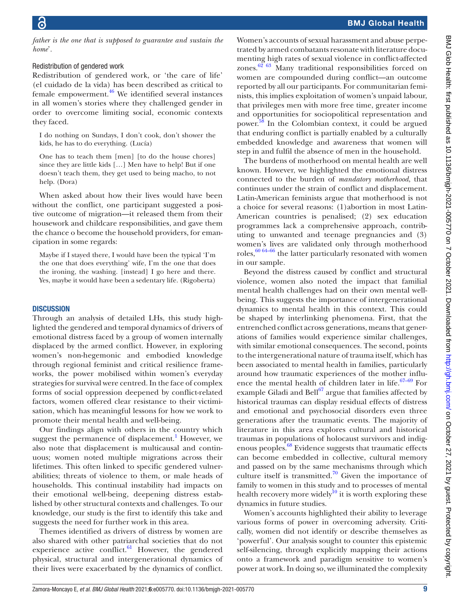*father is the one that is supposed to guarantee and sustain the home*'*.*

#### Redistribution of gendered work

Redistribution of gendered work, or 'the care of life' (el cuidado de la vida) has been described as critical to female empowerment. $46$  We identified several instances in all women's stories where they challenged gender in order to overcome limiting social, economic contexts they faced.

I do nothing on Sundays, I don't cook, don't shower the kids, he has to do everything. (Lucía)

One has to teach them [men] [to do the house chores] since they are little kids […] Men have to help! But if one doesn't teach them, they get used to being macho, to not help. (Dora)

When asked about how their lives would have been without the conflict, one participant suggested a positive outcome of migration—it released them from their housework and childcare responsibilities, and gave them the chance o become the household providers, for emancipation in some regards:

Maybe if I stayed there, I would have been the typical 'I'm the one that does everything' wife, I'm the one that does the ironing, the washing. [instead] I go here and there. Yes, maybe it would have been a sedentary life. (Rigoberta)

#### **DISCUSSION**

Through an analysis of detailed LHs, this study highlighted the gendered and temporal dynamics of drivers of emotional distress faced by a group of women internally displaced by the armed conflict. However, in exploring women's non-hegemonic and embodied knowledge through regional feminist and critical resilience frameworks, the power mobilised within women's everyday strategies for survival were centred. In the face of complex forms of social oppression deepened by conflict-related factors, women offered clear resistance to their victimisation, which has meaningful lessons for how we work to promote their mental health and well-being.

Our findings align with others in the country which suggest the permanence of displacement.<sup>[1](#page-10-0)</sup> However, we also note that displacement is multicausal and continuous; women noted multiple migrations across their lifetimes. This often linked to specific gendered vulnerabilities; threats of violence to them, or male heads of households. This continual instability had impacts on their emotional well-being, deepening distress established by other structural contexts and challenges. To our knowledge, our study is the first to identify this take and suggests the need for further work in this area.

Themes identified as drivers of distress by women are also shared with other patriarchal societies that do not experience active conflict. $61$  However, the gendered physical, structural and intergenerational dynamics of their lives were exacerbated by the dynamics of conflict.

Women's accounts of sexual harassment and abuse perpetrated by armed combatants resonate with literature documenting high rates of sexual violence in conflict-affected zones. $62\,63}$  Many traditional responsibilities forced on women are compounded during conflict—an outcome reported by all our participants. For communitarian feminists, this implies exploitation of women's unpaid labour, that privileges men with more free time, greater income and opportunities for sociopolitical representation and power.<sup>[58](#page-11-41)</sup> In the Colombian context, it could be argued that enduring conflict is partially enabled by a culturally embedded knowledge and awareness that women will step in and fulfil the absence of men in the household.

The burdens of motherhood on mental health are well known. However, we highlighted the emotional distress connected to the burden of *mandatory motherhood*, that continues under the strain of conflict and displacement. Latin-American feminists argue that motherhood is not a choice for several reasons: (1)abortion in most Latin-American countries is penalised; (2) sex education programmes lack a comprehensive approach, contributing to unwanted and teenage pregnancies and (3) women's lives are validated only through motherhood roles, $60\,64-66$  the latter particularly resonated with women in our sample.

Beyond the distress caused by conflict and structural violence, women also noted the impact that familial mental health challenges had on their own mental wellbeing. This suggests the importance of intergenerational dynamics to mental health in this context. This could be shaped by interlinking phenomena. First, that the entrenched conflict across generations, means that generations of families would experience similar challenges, with similar emotional consequences. The second, points to the intergenerational nature of trauma itself, which has been associated to mental health in families, particularly around how traumatic experiences of the mother influence the mental health of children later in life. $67-69$  For example Giladi and  $\text{Bell}^{67}$  $\text{Bell}^{67}$  $\text{Bell}^{67}$  argue that families affected by historical traumas can display residual effects of distress and emotional and psychosocial disorders even three generations after the traumatic events. The majority of literature in this area explores cultural and historical traumas in populations of holocaust survivors and indigenous peoples.<sup>68</sup> Evidence suggests that traumatic effects can become embedded in collective, cultural memory and passed on by the same mechanisms through which culture itself is transmitted.<sup>70</sup> Given the importance of family to women in this study and to processes of mental health recovery more widely<sup>10</sup> it is worth exploring these dynamics in future studies.

Women's accounts highlighted their ability to leverage various forms of power in overcoming adversity. Critically, women did not identify or describe themselves as 'powerful'. Our analysis sought to counter this epistemic self-silencing, through explicitly mapping their actions onto a framework and paradigm sensitive to women's power at work. In doing so, we illuminated the complexity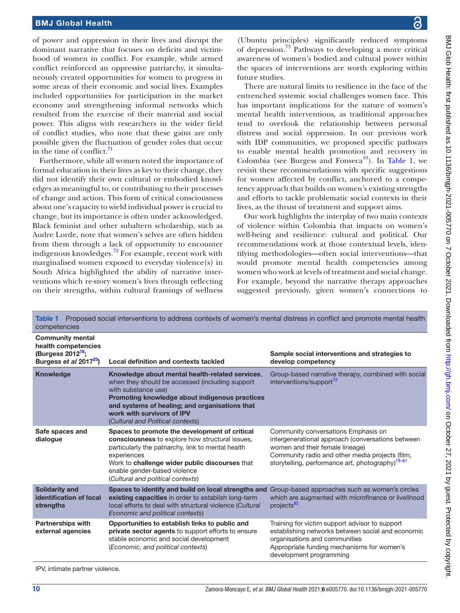of power and oppression in their lives and disrupt the dominant narrative that focuses on deficits and victimhood of women in conflict. For example, while armed conflict reinforced an oppressive patriarchy, it simultaneously created opportunities for women to progress in some areas of their economic and social lives. Examples included opportunities for participation in the market economy and strengthening informal networks which resulted from the exercise of their material and social power. This aligns with researchers in the wider field of conflict studies, who note that these gains are only possible given the fluctuation of gender roles that occur in the time of conflict. $^{71}$ 

Furthermore, while all women noted the importance of formal education in their lives as key to their change, they did not identify their own cultural or embodied knowledges as meaningful to, or contributing to their processes of change and action. This form of critical consciousness about one's capacity to wield individual power is crucial to change, but its importance is often under acknowledged. Black feminist and other subaltern scholarship, such as Audre Lorde, note that women's selves are often hidden from them through a lack of opportunity to encounter indigenous knowledges.[72](#page-12-7) For example, recent work with marginalised women exposed to everyday violence(s) in South Africa highlighted the ability of narrative interventions which re-story women's lives through reflecting on their strengths, within cultural framings of wellness

BMJ Glob Health: first published as 10.1136/bmjgh-2021-005770 on 7 October 2021. Downloaded from http://gh.bmj.com/ on October 27, 2021 by guest. Protected by copyright BMJ Glob Health: first published as 10.1136/bmlgh-2021-005770 on 7 October 2021. Downloaded from <http://gh.bmj.com/> on October 27, 2021 by guest. Protected by copyright.

(Ubuntu principles) significantly reduced symptoms of depression.<sup>[73](#page-12-8)</sup> Pathways to developing a more critical awareness of women's bodied and cultural power within the spaces of interventions are worth exploring within future studies.

There are natural limits to resilience in the face of the entrenched systemic social challenges women face. This has important implications for the nature of women's mental health interventions, as traditional approaches tend to overlook the relationship between personal distress and social oppression. In our previous work with IDP communities, we proposed specific pathways to enable mental health promotion and recovery in Colombia (see Burgess and Fonseca<sup>10</sup>). In [Table](#page-9-0) 1, we revisit these recommendations with specific suggestions for women affected by conflict, anchored to a competency approach that builds on women's existing strengths and efforts to tackle problematic social contexts in their lives, as the thrust of treatment and support aims.

Our work highlights the interplay of two main contexts of violence within Colombia that impacts on women's well-being and resilience: cultural and political. Our recommendations work at those contextual levels, identifying methodologies—often social interventions—that would promote mental health competencies among women who work at levels of treatment and social change. For example, beyond the narrative therapy approaches suggested previously, given women's connections to

<span id="page-9-0"></span>

| Table 1 Proposed social interventions to address contexts of women's mental distress in conflict and promote mental health<br>competencies |                                                                                                                                                                                                                                                                                                  |                                                                                                                                                                                                                                                |
|--------------------------------------------------------------------------------------------------------------------------------------------|--------------------------------------------------------------------------------------------------------------------------------------------------------------------------------------------------------------------------------------------------------------------------------------------------|------------------------------------------------------------------------------------------------------------------------------------------------------------------------------------------------------------------------------------------------|
| <b>Community mental</b><br>health competencies<br>(Burgess 2012 <sup>78</sup> ;<br>Burgess et al 2017 <sup>23</sup> )                      | Local definition and contexts tackled                                                                                                                                                                                                                                                            | Sample social interventions and strategies to<br>develop competency                                                                                                                                                                            |
| <b>Knowledge</b>                                                                                                                           | Knowledge about mental health-related services,<br>when they should be accessed (including support<br>with substance use)<br>Promoting knowledge about indigenous practices<br>and systems of healing; and organisations that<br>work with survivors of IPV<br>(Cultural and Political contexts) | Group-based narrative therapy, combined with social<br>interventions/support <sup>72</sup>                                                                                                                                                     |
| Safe spaces and<br>dialogue                                                                                                                | Spaces to promote the development of critical<br>consciousness to explore how structural issues.<br>particularly the patriarchy, link to mental health<br>experiences<br>Work to challenge wider public discourses that<br>enable gender-based violence<br>(Cultural and political contexts)     | Community conversations Emphasis on<br>intergenerational approach (conversations between<br>women and their female lineage)<br>Community radio and other media projects (film,<br>storytelling, performance art, photography) <sup>79-81</sup> |
| <b>Solidarity and</b><br>identification of local<br>strengths                                                                              | Spaces to identify and build on local strengths and<br>existing capacities in order to establish long-term<br>local efforts to deal with structural violence (Cultural<br>Economic and political contexts)                                                                                       | Group-based approaches such as women's circles<br>which are augmented with microfinance or livelihood<br>projects <sup>82</sup>                                                                                                                |
| <b>Partnerships with</b><br>external agencies                                                                                              | Opportunities to establish links to public and<br>private sector agents to support efforts to ensure<br>stable economic and social development<br>(Economic, and political contexts)                                                                                                             | Training for victim support advisor to support<br>establishing networks between social and economic<br>organisations and communities<br>Appropriate funding mechanisms for women's<br>development programming                                  |

IPV, intimate partner violence.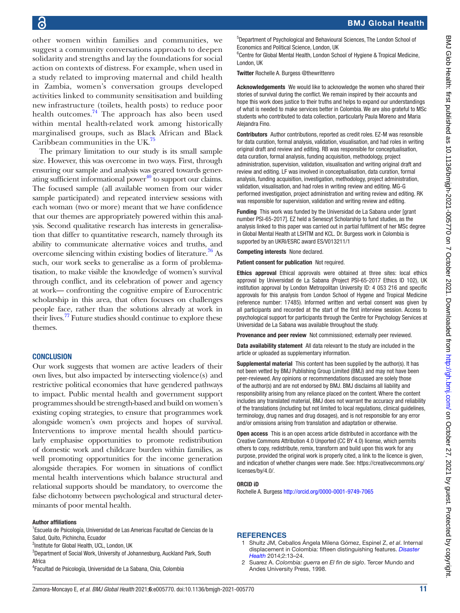other women within families and communities, we suggest a community conversations approach to deepen solidarity and strengths and lay the foundations for social action on contexts of distress. For example, when used in a study related to improving maternal and child health in Zambia, women's conversation groups developed activities linked to community sensitisation and building new infrastructure (toilets, health posts) to reduce poor health outcomes.<sup>[74](#page-12-12)</sup> The approach has also been used within mental health-related work among historically marginalised groups, such as Black African and Black Caribbean communities in the UK.[75](#page-12-13)

The primary limitation to our study is its small sample size. However, this was overcome in two ways. First, through ensuring our sample and analysis was geared towards generating sufficient informational power<sup>40</sup> to support our claims. The focused sample (all available women from our wider sample participated) and repeated interview sessions with each woman (two or more) meant that we have confidence that our themes are appropriately powered within this analysis. Second qualitative research has interests in generalisation that differ to quantitative research, namely through its ability to communicate alternative voices and truths, and overcome silencing within existing bodies of literature.<sup>76</sup> As such, our work seeks to generalise as a form of problematisation, to make visible the knowledge of women's survival through conflict, and its celebration of power and agency at work— confronting the cognitive empire of Eurocentric scholarship in this area, that often focuses on challenges people face, rather than the solutions already at work in their lives.<sup>77</sup> Future studies should continue to explore these themes.

#### **CONCLUSION**

Our work suggests that women are active leaders of their own lives, but also impacted by intersecting violence(s) and restrictive political economies that have gendered pathways to impact. Public mental health and government support programmes should be strength-based and build on women's existing coping strategies, to ensure that programmes work alongside women's own projects and hopes of survival. Interventions to improve mental health should particularly emphasise opportunities to promote redistribution of domestic work and childcare burden within families, as well promoting opportunities for the income generation alongside therapies. For women in situations of conflict mental health interventions which balance structural and relational supports should be mandatory, to overcome the false dichotomy between psychological and structural determinants of poor mental health.

#### Author affiliations

<sup>1</sup>Escuela de Psicología, Universidad de Las Americas Facultad de Ciencias de la Salud, Quito, Pichincha, Ecuador

<sup>2</sup>Institute for Global Health, UCL, London, UK

<sup>3</sup>Department of Social Work, University of Johannesburg, Auckland Park, South Africa

4 Facultad de Psicología, Universidad de La Sabana, Chia, Colombia

5 Department of Psychological and Behavioural Sciences, The London School of Economics and Political Science, London, UK

<sup>6</sup> Centre for Global Mental Health, London School of Hygiene & Tropical Medicine, London, UK

Twitter Rochelle A. Burgess [@thewrittenro](https://twitter.com/thewrittenro)

Acknowledgements We would like to acknowledge the women who shared their stories of survival during the conflict. We remain inspired by their accounts and hope this work does justice to their truths and helps to expand our understandings of what is needed to make services better in Colombia. We are also grateful to MSc students who contributed to data collection, particularly Paula Moreno and Maria Alejandra Fino.

Contributors Author contributions, reported as credit roles. EZ-M was resonsible for data curation, formal analysis, validation, visualisation, and had roles in writing original draft and review and editing. RB was responsible for conceptualisation, data curation, formal analysis, funding acquisition, methodology, project administration, supervision, validation, visualisation and writing original draft and review and editing. LF was involved in conceptualisation, data curation, formal analysis, funding acquisition, investigation, methodology, project administration, validation, visualisation, and had roles in writing review and editing. MG-G performed investigation, project administration and writing review and editing. RK was responsible for supervision, validation and writing review and editing.

Funding This work was funded by the Universidad de La Sabana under [grant number PSI-65-2017]. EZ held a Senescyt Scholarship to fund studies, as the analysis linked to this paper was carried out in partial fulfilment of her MSc degree in Global Mental Health at LSHTM and KCL. Dr. Burgess work in Colombia is supported by an UKRI/ESRC award ES/V013211/1

Competing interests None declared.

Patient consent for publication Not required.

Ethics approval Ethical approvals were obtained at three sites: local ethics approval by Universidad de La Sabana (Project PSI-65-2017 Ethics ID 102), UK institution approval by London Metropolitan University ID: 4 053 216 and specific approvals for this analysis from London School of Hygene and Tropical Medicine (reference number: 17485). Informed written and verbal consent was given by all participants and recorded at the start of the first interview session. Access to psychological support for participants through the Centre for Psychology Services at Universidad de La Sabana was available throughout the study.

Provenance and peer review Not commissioned; externally peer reviewed.

Data availability statement All data relevant to the study are included in the article or uploaded as supplementary information.

Supplemental material This content has been supplied by the author(s). It has not been vetted by BMJ Publishing Group Limited (BMJ) and may not have been peer-reviewed. Any opinions or recommendations discussed are solely those of the author(s) and are not endorsed by BMJ. BMJ disclaims all liability and responsibility arising from any reliance placed on the content. Where the content includes any translated material, BMJ does not warrant the accuracy and reliability of the translations (including but not limited to local regulations, clinical guidelines, terminology, drug names and drug dosages), and is not responsible for any error and/or omissions arising from translation and adaptation or otherwise.

Open access This is an open access article distributed in accordance with the Creative Commons Attribution 4.0 Unported (CC BY 4.0) license, which permits others to copy, redistribute, remix, transform and build upon this work for any purpose, provided the original work is properly cited, a link to the licence is given, and indication of whether changes were made. See: [https://creativecommons.org/](https://creativecommons.org/licenses/by/4.0/) [licenses/by/4.0/](https://creativecommons.org/licenses/by/4.0/).

#### ORCID iD

Rochelle A. Burgess<http://orcid.org/0000-0001-9749-7065>

#### **REFERENCES**

- <span id="page-10-0"></span>1 Shultz JM, Ceballos Ángela Milena Gómez, Espinel Z, *et al*. Internal displacement in Colombia: fifteen distinguishing features. *[Disaster](http://dx.doi.org/10.4161/dish.27885)  [Health](http://dx.doi.org/10.4161/dish.27885)* 2014;2:13–24.
- 2 Suarez A. *Colombia: guerra en El fin de siglo*. Tercer Mundo and Andes University Press, 1998.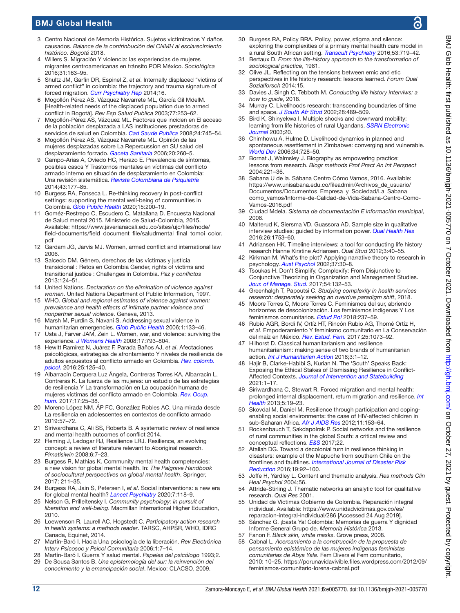- <span id="page-11-0"></span>3 Centro Nacional de Memoría Histórica. Sujetos victimizados Y daños causados. *Balance de la contrinbución del CNMH al esclarecimiento histórico. Bogotá* 2018.
- <span id="page-11-1"></span>4 Willers S. Migración Y violencia: las experiencias de mujeres migrantes centroamericanas en tránsito POR México. *Sociológica* 2016;31:163–95.
- <span id="page-11-2"></span>5 Shultz JM, Garfin DR, Espinel Z, *et al*. Internally displaced "victims of armed conflict" in colombia: the trajectory and trauma signature of forced migration. *[Curr Psychiatry Rep](http://dx.doi.org/10.1007/s11920-014-0475-7)* 2014;16.
- <span id="page-11-3"></span>6 Mogollón Pérez AS, Vázquez Navarrete ML, García Gil MdelM. [Health-related needs of the displaced population due to armed conflict in Bogotá]. *Rev Esp Salud Publica* 2003;77:253–62.
- <span id="page-11-4"></span>7 Mogollón-Pérez AS, Vázquez ML. Factores que inciden en El acceso de la población desplazada a LAS instituciones prestadoras de servicios de salud en Colombia. *[Cad Saude Publica](http://dx.doi.org/10.1590/S0102-311X2008000400004)* 2008;24:745–54.
- 8 Mogollón Pérez AS, Vázquez Navarrete ML. Opinión de las mujeres desplazadas sobre La Repercussion en SU salud del desplazamiento forzado. *[Gaceta Sanitaria](http://dx.doi.org/10.1157/13091139)* 2006;20:260–5.
- <span id="page-11-5"></span>9 Campo-Arias A, Oviedo HC, Herazo E. Prevalencia de síntomas, posibles casos Y Trastornos mentales en víctimas del conflicto armado interno en situación de desplazamiento en Colombia: Una revisión sistemática. *[Revista Colombiana de Psiquiatría](http://dx.doi.org/10.1016/j.rcp.2014.07.003)* 2014;43:177–85.
- <span id="page-11-18"></span>10 Burgess RA, Fonseca L. Re-thinking recovery in post-conflict settings: supporting the mental well-being of communities in Colombia. *[Glob Public Health](http://dx.doi.org/10.1080/17441692.2019.1663547)* 2020;15:200–19.
- <span id="page-11-6"></span>11 Goméz-Restrepo C, Escudero C, Matallana D. Encuesta Nacional de Salud mental 2015. Ministerio de Salud-Colombia, 2015. Available: [https://www.javerianacali.edu.co/sites/ujc/files/node/](https://www.javerianacali.edu.co/sites/ujc/files/node/field-documents/field_document_file/saludmental_final_tomoi_color.pdf) [field-documents/field\\_document\\_file/saludmental\\_final\\_tomoi\\_color.](https://www.javerianacali.edu.co/sites/ujc/files/node/field-documents/field_document_file/saludmental_final_tomoi_color.pdf) [pdf](https://www.javerianacali.edu.co/sites/ujc/files/node/field-documents/field_document_file/saludmental_final_tomoi_color.pdf)
- <span id="page-11-7"></span>12 Gardam JG, Jarvis MJ. Women, armed conflict and international law 2006.
- 13 Salcedo DM. Género, derechos de las víctimas y justicia transicional : Retos en Colombia Gender, rights of victims and transitional justice : Challenges in Colombia. *Paz y conflictos* 2013:124–51.
- <span id="page-11-8"></span>14 United Nations. *Declaration on the elimination of violence against women*. United Nations Department of Public Information, 1997.
- 15 WHO. *Global and regional estimates of violence against women: prevalence and health effects of intimate partner violence and nonpartner sexual violence*. Geneva, 2013.
- <span id="page-11-9"></span>16 Marsh M, Purdin S, Navani S. Addressing sexual violence in humanitarian emergencies. *[Glob Public Health](http://dx.doi.org/10.1080/17441690600652787)* 2006;1:133–46.
- 17 Usta J, Farver JAM, Zein L. Women, war, and violence: surviving the experience. *[J Womens Health](http://dx.doi.org/10.1089/jwh.2007.0602)* 2008;17:793–804.
- <span id="page-11-10"></span>18 Hewitt Ramírez N, Juárez F, Parada Baños AJ, *et al*. Afectaciones psicológicas, estrategias de afrontamiento Y niveles de resiliencia de adultos expuestos al conflicto armado en Colombia. *[Rev. colomb.](http://dx.doi.org/10.15446/rcp.v25n1.49966)  [psicol.](http://dx.doi.org/10.15446/rcp.v25n1.49966)* 2016;25:125–40.
- <span id="page-11-11"></span>19 Albarracín Cerquera Luz Ángela, Contreras Torres KA, Albarracín L, Contreras K. La fuerza de las mujeres: un estudio de las estrategias de resiliencia Y La transformación en La ocupación humana de mujeres víctimas del conflicto armado en Colombia. *[Rev. Ocup.](http://dx.doi.org/10.25214/25907816.154)  [hum.](http://dx.doi.org/10.25214/25907816.154)* 2017;17:25–38.
- 20 Moreno López NM, ÁP FC, González Robles AC. Una mirada desde La resiliencia en adolescentes en contextos de conflicto armado 2019:57–72.
- <span id="page-11-12"></span>21 Siriwardhana C, Ali SS, Roberts B. A systematic review of resilience and mental health outcomes of conflict 2014.
- <span id="page-11-13"></span>22 Fleming J, Ledogar RJ, Resilience LRJ. Resilience, an evolving concept: a review of literature relevant to Aboriginal research. *Pimatisiwin* 2008;6:7–23.
- <span id="page-11-14"></span>23 Burgess R, Mathias K. Community mental health competencies: a new vision for global mental health. In: *The Palgrave Handbook of sociocultural perspectives on global mental health*. Springer, 2017: 211–35.
- <span id="page-11-15"></span>24 Burgess RA, Jain S, Petersen I, *et al*. Social interventions: a new era for global mental health? *[Lancet Psychiatry](http://dx.doi.org/10.1016/S2215-0366(19)30397-9)* 2020;7:118–9.
- <span id="page-11-16"></span>25 Nelson G, Prilleltensky I. *Community psychology: in pursuit of liberation and well-being*. Macmillan International Higher Education, 2010.
- <span id="page-11-17"></span>26 Loewenson R, Laurell AC, Hogstedt C. *Participatory action research in health systems: a methods reader*. TARSC, AHPSR, WHO, IDRC Canada, Equinet, 2014.
- <span id="page-11-19"></span>27 Martín-Baró I. Hacia Una psicología de la liberación. *Rev Electrónica Interv Psicosoc y Psicol Comunitaria* 2006;1:7–14.
- 28 Martín-Baró I. Guerra Y salud mental. *Papeles del psicólogo* 1993;2. 29 De Sousa Santos B. *Una epistemología del sur: la reinvención del*
- <span id="page-11-36"></span>*conocimiento y la emancipación social*. Mexico: CLACSO, 2009.
- 30 Burgess RA, Policy BRA. Policy, power, stigma and silence: exploring the complexities of a primary mental health care model in
- <span id="page-11-20"></span>a rural South African setting. *[Transcult Psychiatry](http://dx.doi.org/10.1177/1363461516679056)* 2016;53:719–42. 31 Bertaux D. *From the life-history approach to the transformation of sociological practice*, 1981.
- 32 Olive JL. Reflecting on the tensions between emic and etic perspectives in life history research: lessons learned. *Forum Qual Sozialforsch* 2014;15.
- <span id="page-11-21"></span>33 Davies J, Singh C, Tebboth M. *Conducting life history interviws: a how to guide*, 2018.
- 34 Murray C. Livelihoods research: transcending boundaries of time and space. *[J South Afr Stud](http://dx.doi.org/10.1080/0305707022000006486)* 2002;28:489–509.
- 35 Bird K, Shinyekwa I. Multiple shocks and downward mobility: learning from life histories of rural Ugandans. *[SSRN Electronic](http://dx.doi.org/10.2139/ssrn.1754417)  [Journal](http://dx.doi.org/10.2139/ssrn.1754417)* 2003;20.
- <span id="page-11-22"></span>36 Chimhowu A, Hulme D. Livelihood dynamics in planned and spontaneous resettlement in Zimbabwe: converging and vulnerable. *[World Dev](http://dx.doi.org/10.1016/j.worlddev.2005.08.011)* 2006;34:728–50.
- <span id="page-11-23"></span>37 Bornat J, Walmsley J. Biography as empowering practice: lessons from research. *Biogr methods Prof Pract An Int Perspect* 2004:221–36.
- <span id="page-11-24"></span>38 Sabana U de la. Sábana Centro Cómo Vamos, 2016. Available: [https://www.unisabana.edu.co/fileadmin/Archivos\\_de\\_usuario/](https://www.unisabana.edu.co/fileadmin/Archivos_de_usuario/Documentos/Documentos_Empresa_y_Sociedad/La_Sabana_como_vamos/Informe-de-Calidad-de-Vida-Sabana-Centro-Como-Vamos-2016.pdf) [Documentos/Documentos\\_Empresa\\_y\\_Sociedad/La\\_Sabana\\_](https://www.unisabana.edu.co/fileadmin/Archivos_de_usuario/Documentos/Documentos_Empresa_y_Sociedad/La_Sabana_como_vamos/Informe-de-Calidad-de-Vida-Sabana-Centro-Como-Vamos-2016.pdf) [como\\_vamos/Informe-de-Calidad-de-Vida-Sabana-Centro-Como-](https://www.unisabana.edu.co/fileadmin/Archivos_de_usuario/Documentos/Documentos_Empresa_y_Sociedad/La_Sabana_como_vamos/Informe-de-Calidad-de-Vida-Sabana-Centro-Como-Vamos-2016.pdf)[Vamos-2016.pdf](https://www.unisabana.edu.co/fileadmin/Archivos_de_usuario/Documentos/Documentos_Empresa_y_Sociedad/La_Sabana_como_vamos/Informe-de-Calidad-de-Vida-Sabana-Centro-Como-Vamos-2016.pdf)
- 39 Ciudad Mdela. *Sistema de documentación E información municipal*, 2008.
- <span id="page-11-25"></span>40 Malterud K, Siersma VD, Guassora AD. Sample size in qualitative interview studies: guided by information power. *[Qual Health Res](http://dx.doi.org/10.1177/1049732315617444)* 2016;26:1753–60.
- <span id="page-11-26"></span>41 Adriansen HK. Timeline interviews: a tool for conducting life history research Hanne Kirstine Adriansen. *Qual Stud* 2012;3:40–55.
- <span id="page-11-27"></span>42 Kirkman M. What's the plot? Applying narrative theory to research in psychology. *[Aust Psychol](http://dx.doi.org/10.1080/00050060210001706646)* 2002;37:30–8.
- <span id="page-11-28"></span>43 Tsoukas H. Don't Simplify, Complexify: From Disjunctive to Conjunctive Theorizing in Organization and Management Studies. *[Jour. of Manage. Stud.](http://dx.doi.org/10.1111/joms.12219)* 2017;54:132–53.
- <span id="page-11-29"></span>44 Greenhalgh T, Papoutsi C. *Studying complexity in health services research: desperately seeking an overdue paradigm shift*, 2018.
- <span id="page-11-30"></span>45 Moore Torres C, Moore Torres C. Feminismos del sur, abriendo horizontes de descolonización. Los feminismos indígenas Y Los feminismos comunitarios. *[Estud Pol](http://dx.doi.org/10.17533/udea.espo.n53a11)* 2018:237–59.
- <span id="page-11-31"></span>46 Rubio AGR, Bordi IV, Ortíz HT, Rincón Rubio AG, Thomé Ortíz H, *et al*. Empoderamiento Y feminismo comunitario en La Conservación del maíz en México. *[Rev. Estud. Fem.](http://dx.doi.org/10.1590/1806-9584.2017v25n3p1073)* 2017;25:1073–92.
- <span id="page-11-32"></span>47 Hilhorst D. Classical humanitarianism and resilience humanitarianism: making sense of two brands of humanitarian action. *[Int J Humanitarian Action](http://dx.doi.org/10.1186/s41018-018-0043-6)* 2018;3:1–12.
- <span id="page-11-33"></span>48 Hajir B, Clarke-Habibi S, Kurian N. The 'South' Speaks Back: Exposing the Ethical Stakes of Dismissing Resilience in Conflict-Affected Contexts. *[Journal of Intervention and Statebuilding](http://dx.doi.org/10.1080/17502977.2020.1860608)* 2021:1–17.
- <span id="page-11-34"></span>49 Siriwardhana C, Stewart R. Forced migration and mental health: prolonged internal displacement, return migration and resilience. *[Int](http://dx.doi.org/10.1093/inthealth/ihs014)  [Health](http://dx.doi.org/10.1093/inthealth/ihs014)* 2013;5:19–23.
- <span id="page-11-35"></span>50 Skovdal M, Daniel M. Resilience through participation and copingenabling social environments: the case of HIV-affected children in sub-Saharan Africa. *[Afr J AIDS Res](http://dx.doi.org/10.2989/16085906.2012.734975)* 2012;11:153–64.
- 51 Rockenbauch T, Sakdapolrak P. Social networks and the resilience of rural communities in the global South: a critical review and conceptual reflections. *[E&S](http://dx.doi.org/10.5751/ES-09009-220110)* 2017;22.
- 52 Atallah DG. Toward a decolonial turn in resilience thinking in disasters: example of the Mapuche from southern Chile on the frontlines and faultlines. *[International Journal of Disaster Risk](http://dx.doi.org/10.1016/j.ijdrr.2016.08.027)  [Reduction](http://dx.doi.org/10.1016/j.ijdrr.2016.08.027)* 2016;19:92–100.
- <span id="page-11-37"></span>53 Joffe H, Yardley L. Content and thematic analysis. *Res methods Clin Heal Psychol* 2004;56.
- <span id="page-11-38"></span>54 Attride-Stirling J. Thematic networks an analytic tool for qualitative research. *Qual Res* 2001.
- <span id="page-11-39"></span>55 Unidad de Víctimas Gobierno de Colombia. Reparación integral individual. Available: [https://www.unidadvictimas.gov.co/es/](https://www.unidadvictimas.gov.co/es/reparacion-integral-individual/286) [reparacion-integral-individual/286](https://www.unidadvictimas.gov.co/es/reparacion-integral-individual/286) [Accessed 24 Aug 2019].
- 56 Sánchez G. ¡basta Ya! Colombia: Memorias de guerra Y dignidad Informe General Grupo de. *Memoria Histórica* 2013.
- <span id="page-11-40"></span>57 Fanon F. *Black skin, white masks*. Grove press, 2008.
- <span id="page-11-41"></span>58 Cabnal L. *Acercamiento a la construcción de la propuesta de pensamiento epistémico de las mujeres indígenas feministas comunitarias de Abya Yala*. Fem Divers el Fem comunitario, 2010: 10–25. [https://porunavidavivible.files.wordpress.com/2012/09/](https://porunavidavivible.files.wordpress.com/2012/09/feminismos-comunitario-lorena-cabnal.pdf) [feminismos-comunitario-lorena-cabnal.pdf](https://porunavidavivible.files.wordpress.com/2012/09/feminismos-comunitario-lorena-cabnal.pdf)